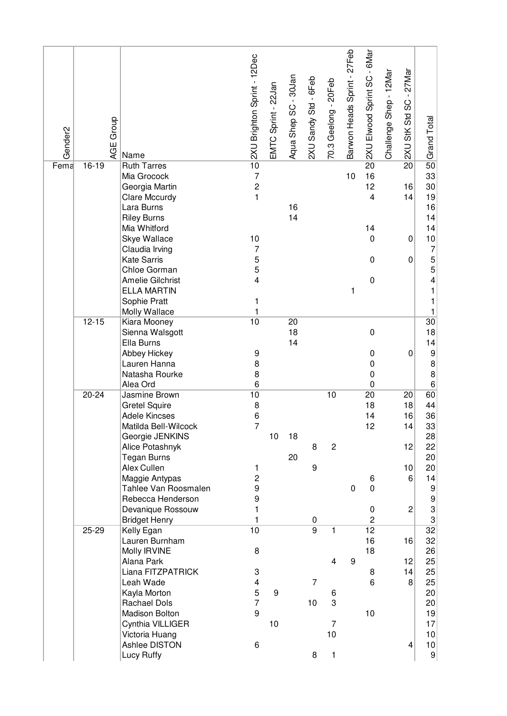| Gender <sub>2</sub> |           | Group<br>AGE<br>Name                | 2XU Brighton Sprint - 12Dec      | EMTC Sprint - 22Jan | Aqua Shep SC - 30Jan | 2XU Sandy Std - 6Feb | 70.3 Geelong - 20Feb | Barwon Heads Sprint - 27Feb | 2XU Elwood Sprint SC - 6Mar | Challenge Shep - 12Mar | $-27$ Mar<br>SC<br>2XU StK Std | Grand Total                                  |
|---------------------|-----------|-------------------------------------|----------------------------------|---------------------|----------------------|----------------------|----------------------|-----------------------------|-----------------------------|------------------------|--------------------------------|----------------------------------------------|
| Fema                | 16-19     | <b>Ruth Tarres</b>                  | 10                               |                     |                      |                      |                      |                             | 20                          |                        | 20                             | 50                                           |
|                     |           | Mia Grocock<br>Georgia Martin       | $\overline{7}$<br>$\overline{c}$ |                     |                      |                      |                      | 10                          | 16<br>12                    |                        | 16                             | 33<br>30                                     |
|                     |           | Clare Mccurdy                       | $\mathbf{1}$                     |                     |                      |                      |                      |                             | $\overline{\mathbf{4}}$     |                        | 14                             | 19                                           |
|                     |           | Lara Burns                          |                                  |                     | 16                   |                      |                      |                             |                             |                        |                                | 16                                           |
|                     |           | <b>Riley Burns</b>                  |                                  |                     | 14                   |                      |                      |                             |                             |                        |                                | 14                                           |
|                     |           | Mia Whitford                        |                                  |                     |                      |                      |                      |                             | 14                          |                        |                                | 14                                           |
|                     |           | Skye Wallace                        | 10                               |                     |                      |                      |                      |                             | $\mathbf 0$                 |                        | 0                              | 10                                           |
|                     |           | Claudia Irving                      | $\overline{7}$                   |                     |                      |                      |                      |                             |                             |                        |                                | 7                                            |
|                     |           | <b>Kate Sarris</b><br>Chloe Gorman  | 5                                |                     |                      |                      |                      |                             | $\pmb{0}$                   |                        | 0                              | 5                                            |
|                     |           | <b>Amelie Gilchrist</b>             | 5<br>4                           |                     |                      |                      |                      |                             | $\pmb{0}$                   |                        |                                | 5<br>4                                       |
|                     |           | <b>ELLA MARTIN</b>                  |                                  |                     |                      |                      |                      | 1                           |                             |                        |                                | 1                                            |
|                     |           | Sophie Pratt                        | 1                                |                     |                      |                      |                      |                             |                             |                        |                                | 1                                            |
|                     |           | Molly Wallace                       | 1                                |                     |                      |                      |                      |                             |                             |                        |                                | 1                                            |
|                     | $12 - 15$ | Kiara Mooney                        | 10                               |                     | 20                   |                      |                      |                             |                             |                        |                                | 30                                           |
|                     |           | Sienna Walsgott                     |                                  |                     | 18                   |                      |                      |                             | $\mathbf 0$                 |                        |                                | 18                                           |
|                     |           | Ella Burns                          |                                  |                     | 14                   |                      |                      |                             |                             |                        |                                | 14                                           |
|                     |           | Abbey Hickey<br>Lauren Hanna        | 9<br>8                           |                     |                      |                      |                      |                             | 0<br>$\mathbf 0$            |                        | 0                              | 9<br>$\bf 8$                                 |
|                     |           | Natasha Rourke                      | 8                                |                     |                      |                      |                      |                             | $\mathbf 0$                 |                        |                                | 8                                            |
|                     |           | Alea Ord                            | 6                                |                     |                      |                      |                      |                             | $\mathbf 0$                 |                        |                                | $\,6$                                        |
|                     | $20 - 24$ | Jasmine Brown                       | 10                               |                     |                      |                      | 10                   |                             | 20                          |                        | 20                             | 60                                           |
|                     |           | <b>Gretel Squire</b>                | 8                                |                     |                      |                      |                      |                             | 18                          |                        | 18                             | 44                                           |
|                     |           | <b>Adele Kincses</b>                | 6                                |                     |                      |                      |                      |                             | 14                          |                        | 16                             | 36                                           |
|                     |           | Matilda Bell-Wilcock                | $\overline{7}$                   |                     |                      |                      |                      |                             | 12                          |                        | 14                             | $33$                                         |
|                     |           | Georgie JENKINS<br>Alice Potashnyk  |                                  | 10                  | 18                   | 8                    | $\overline{c}$       |                             |                             |                        | 12                             | 28<br>22                                     |
|                     |           | <b>Tegan Burns</b>                  |                                  |                     | 20                   |                      |                      |                             |                             |                        |                                | 20                                           |
|                     |           | Alex Cullen                         | 1                                |                     |                      | 9                    |                      |                             |                             |                        | 10                             | 20                                           |
|                     |           | Maggie Antypas                      | $\overline{\mathbf{c}}$          |                     |                      |                      |                      |                             | 6                           |                        | 6 <sup>1</sup>                 | 14                                           |
|                     |           | Tahlee Van Roosmalen                | 9                                |                     |                      |                      |                      | $\mathbf 0$                 | 0                           |                        |                                | $\boldsymbol{9}$                             |
|                     |           | Rebecca Henderson                   | 9                                |                     |                      |                      |                      |                             |                             |                        |                                | 9                                            |
|                     |           | Devanique Rossouw                   | 1<br>$\mathbf{1}$                |                     |                      |                      |                      |                             | $\pmb{0}$                   |                        | $\overline{c}$                 | 3                                            |
|                     | 25-29     | <b>Bridget Henry</b><br>Kelly Egan  | 10                               |                     |                      | 0<br>$\overline{9}$  | 1                    |                             | $\overline{c}$<br>12        |                        |                                | $\ensuremath{\mathsf{3}}$<br>$\overline{32}$ |
|                     |           | Lauren Burnham                      |                                  |                     |                      |                      |                      |                             | 16                          |                        | 16                             | 32                                           |
|                     |           | Molly IRVINE                        | $\,8\,$                          |                     |                      |                      |                      |                             | 18                          |                        |                                | 26                                           |
|                     |           | Alana Park                          |                                  |                     |                      |                      | 4                    | $\boldsymbol{9}$            |                             |                        | 12                             | 25                                           |
|                     |           | Liana FITZPATRICK                   | 3                                |                     |                      |                      |                      |                             | 8                           |                        | 14                             | 25                                           |
|                     |           | Leah Wade                           | $\overline{\mathbf{4}}$          |                     |                      | $\overline{7}$       |                      |                             | 6                           |                        | 8 <sup>°</sup>                 | 25                                           |
|                     |           | Kayla Morton<br><b>Rachael Dols</b> | 5<br>$\overline{7}$              | 9                   |                      | 10                   | 6<br>3               |                             |                             |                        |                                | 20                                           |
|                     |           | Madison Bolton                      | 9                                |                     |                      |                      |                      |                             | 10                          |                        |                                | 20<br>19                                     |
|                     |           | Cynthia VILLIGER                    |                                  | 10                  |                      |                      | 7                    |                             |                             |                        |                                | 17                                           |
|                     |           | Victoria Huang                      |                                  |                     |                      |                      | 10                   |                             |                             |                        |                                | 10                                           |
|                     |           | Ashlee DISTON                       | 6                                |                     |                      |                      |                      |                             |                             |                        | 4                              | 10                                           |
|                     |           | Lucy Ruffy                          |                                  |                     |                      | 8                    | 1                    |                             |                             |                        |                                | 9                                            |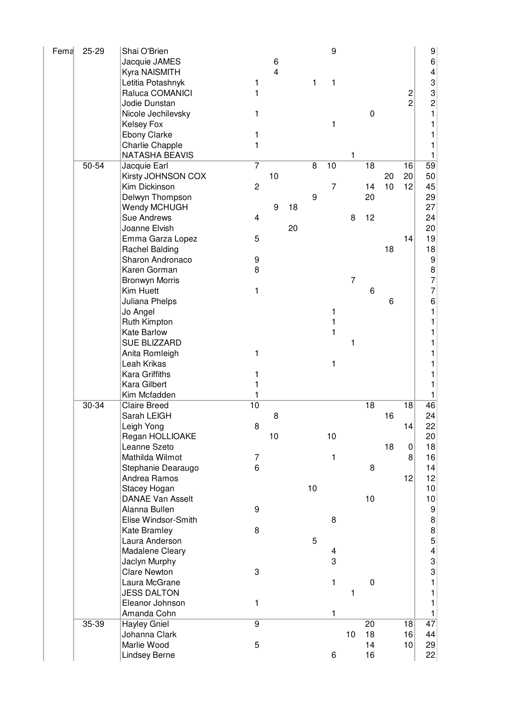| Fema | 25-29 | Shai O'Brien            |                         |    |    |    | $\boldsymbol{9}$ |                |                  |    |                | 9                                     |
|------|-------|-------------------------|-------------------------|----|----|----|------------------|----------------|------------------|----|----------------|---------------------------------------|
|      |       | Jacquie JAMES           |                         | 6  |    |    |                  |                |                  |    |                | 6                                     |
|      |       | Kyra NAISMITH           |                         | 4  |    |    |                  |                |                  |    |                | $\overline{\mathbf{4}}$               |
|      |       | Letitia Potashnyk       | 1                       |    |    | 1  | 1                |                |                  |    |                | 3                                     |
|      |       | Raluca COMANICI         | 1                       |    |    |    |                  |                |                  |    | 2              | 3                                     |
|      |       | Jodie Dunstan           |                         |    |    |    |                  |                |                  |    | $\overline{2}$ | $\overline{c}$                        |
|      |       | Nicole Jechilevsky      | 1                       |    |    |    |                  |                | $\boldsymbol{0}$ |    |                | 1                                     |
|      |       | <b>Kelsey Fox</b>       |                         |    |    |    | 1                |                |                  |    |                |                                       |
|      |       | Ebony Clarke            | 1                       |    |    |    |                  |                |                  |    |                |                                       |
|      |       | Charlie Chapple         | 1                       |    |    |    |                  |                |                  |    |                |                                       |
|      |       | <b>NATASHA BEAVIS</b>   |                         |    |    |    |                  | 1              |                  |    |                | 1                                     |
|      | 50-54 | Jacquie Earl            | $\overline{7}$          |    |    | 8  | 10               |                | 18               |    | 16             | 59                                    |
|      |       | Kirsty JOHNSON COX      |                         | 10 |    |    |                  |                |                  | 20 | 20             | 50                                    |
|      |       | Kim Dickinson           | $\overline{c}$          |    |    |    | $\overline{7}$   |                | 14               | 10 | 12             | 45                                    |
|      |       | Delwyn Thompson         |                         |    |    | 9  |                  |                | 20               |    |                | 29                                    |
|      |       | Wendy MCHUGH            |                         | 9  | 18 |    |                  |                |                  |    |                | 27                                    |
|      |       | Sue Andrews             | $\overline{\mathbf{4}}$ |    |    |    |                  | 8              | 12               |    |                | 24                                    |
|      |       | Joanne Elvish           |                         |    | 20 |    |                  |                |                  |    |                | 20                                    |
|      |       | Emma Garza Lopez        | 5                       |    |    |    |                  |                |                  |    | 14             | 19                                    |
|      |       | <b>Rachel Balding</b>   |                         |    |    |    |                  |                |                  | 18 |                | 18                                    |
|      |       | Sharon Andronaco        | 9                       |    |    |    |                  |                |                  |    |                | 9                                     |
|      |       | Karen Gorman            | 8                       |    |    |    |                  |                |                  |    |                | 8                                     |
|      |       | <b>Bronwyn Morris</b>   |                         |    |    |    |                  | $\overline{7}$ |                  |    |                | 7                                     |
|      |       | Kim Huett               | 1                       |    |    |    |                  |                | 6                |    |                | 7                                     |
|      |       | Juliana Phelps          |                         |    |    |    |                  |                |                  | 6  |                | 6                                     |
|      |       | Jo Angel                |                         |    |    |    | 1                |                |                  |    |                | 1                                     |
|      |       | Ruth Kimpton            |                         |    |    |    | 1                |                |                  |    |                |                                       |
|      |       | Kate Barlow             |                         |    |    |    | 1                |                |                  |    |                |                                       |
|      |       | <b>SUE BLIZZARD</b>     |                         |    |    |    |                  | 1              |                  |    |                |                                       |
|      |       | Anita Romleigh          | 1                       |    |    |    |                  |                |                  |    |                |                                       |
|      |       | Leah Krikas             |                         |    |    |    | 1                |                |                  |    |                |                                       |
|      |       | Kara Griffiths          | 1                       |    |    |    |                  |                |                  |    |                |                                       |
|      |       | Kara Gilbert            | 1                       |    |    |    |                  |                |                  |    |                |                                       |
|      |       | Kim Mcfadden            | 1                       |    |    |    |                  |                |                  |    |                |                                       |
|      | 30-34 | <b>Claire Breed</b>     | 10                      |    |    |    |                  |                | 18               |    | 18             | 46                                    |
|      |       | Sarah LEIGH             |                         | 8  |    |    |                  |                |                  | 16 |                | 24                                    |
|      |       | Leigh Yong              | 8                       |    |    |    |                  |                |                  |    | 14             | 22                                    |
|      |       | Regan HOLLIOAKE         |                         | 10 |    |    | 10               |                |                  |    |                | 20                                    |
|      |       | Leanne Szeto            |                         |    |    |    |                  |                |                  | 18 | 0              | 18                                    |
|      |       | Mathilda Wilmot         | 7                       |    |    |    | 1                |                |                  |    | 8              | 16                                    |
|      |       | Stephanie Dearaugo      | 6                       |    |    |    |                  |                | 8                |    |                | 14                                    |
|      |       | Andrea Ramos            |                         |    |    |    |                  |                |                  |    | 12             | 12                                    |
|      |       | Stacey Hogan            |                         |    |    | 10 |                  |                |                  |    |                | 10                                    |
|      |       | <b>DANAE Van Asselt</b> |                         |    |    |    |                  |                | 10               |    |                | 10                                    |
|      |       | Alanna Bullen           | 9                       |    |    |    |                  |                |                  |    |                | 9                                     |
|      |       | Elise Windsor-Smith     |                         |    |    |    | 8                |                |                  |    |                | 8                                     |
|      |       | Kate Bramley            | 8                       |    |    |    |                  |                |                  |    |                |                                       |
|      |       | Laura Anderson          |                         |    |    | 5  |                  |                |                  |    |                | $\begin{array}{c} 8 \\ 5 \end{array}$ |
|      |       | Madalene Cleary         |                         |    |    |    | 4                |                |                  |    |                | $\overline{\mathbf{r}}$               |
|      |       | Jaclyn Murphy           |                         |    |    |    | 3                |                |                  |    |                | 3                                     |
|      |       | <b>Clare Newton</b>     | 3                       |    |    |    |                  |                |                  |    |                | 3                                     |
|      |       | Laura McGrane           |                         |    |    |    | $\mathbf{1}$     |                | $\pmb{0}$        |    |                | 1                                     |
|      |       | <b>JESS DALTON</b>      |                         |    |    |    |                  | 1              |                  |    |                | 1                                     |
|      |       | Eleanor Johnson         | 1                       |    |    |    |                  |                |                  |    |                | 1                                     |
|      |       | Amanda Cohn             |                         |    |    |    | 1                |                |                  |    |                | 1                                     |
|      | 35-39 | <b>Hayley Gniel</b>     | $\overline{9}$          |    |    |    |                  |                | 20               |    | 18             | 47                                    |
|      |       | Johanna Clark           |                         |    |    |    |                  | 10             | 18               |    | 16             | 44                                    |
|      |       | Marlie Wood             | 5                       |    |    |    |                  |                | 14               |    | 10             | 29                                    |
|      |       | Lindsey Berne           |                         |    |    |    | 6                |                | 16               |    |                | 22                                    |
|      |       |                         |                         |    |    |    |                  |                |                  |    |                |                                       |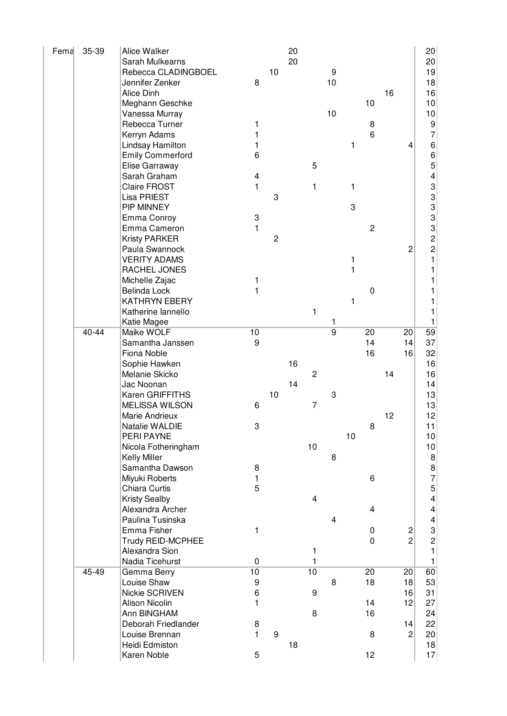| Fema | 35-39     | Alice Walker<br>Sarah Mulkearns<br>Rebecca CLADINGBOEL<br>Jennifer Zenker<br>Alice Dinh<br>Meghann Geschke<br>Vanessa Murray<br>Rebecca Turner<br>Kerryn Adams<br>Lindsay Hamilton<br><b>Emily Commerford</b><br>Elise Garraway<br>Sarah Graham<br>Claire FROST                                                                                                  | 8<br>1<br>1<br>1<br>6<br>4<br>1             | 10                  | 20<br>20 | 5<br>1                                                            | 9<br>10<br>10                 | 1<br>1                      | 10<br>8<br>6                                 | 16       | 4                                            | 20<br>20<br>19<br>18<br>16<br>10<br>10 <sup>1</sup><br>9<br>$\overline{7}$                                                                                                             |
|------|-----------|------------------------------------------------------------------------------------------------------------------------------------------------------------------------------------------------------------------------------------------------------------------------------------------------------------------------------------------------------------------|---------------------------------------------|---------------------|----------|-------------------------------------------------------------------|-------------------------------|-----------------------------|----------------------------------------------|----------|----------------------------------------------|----------------------------------------------------------------------------------------------------------------------------------------------------------------------------------------|
|      |           | Lisa PRIEST<br>PIP MINNEY<br>Emma Conroy<br>Emma Cameron<br><b>Kristy PARKER</b><br>Paula Swannock<br><b>VERITY ADAMS</b><br>RACHEL JONES<br>Michelle Zajac<br><b>Belinda Lock</b><br><b>KATHRYN EBERY</b><br>Katherine lannello<br>Katie Magee                                                                                                                  | 3<br>1<br>1<br>1                            | 3<br>$\overline{c}$ |          | $\mathbf{1}$                                                      | 1                             | 3<br>1<br>$\mathbf{1}$<br>1 | $\overline{c}$<br>$\mathbf 0$                |          | $\overline{c}$                               | 66543333221<br>1<br>1<br>1<br>1<br>1                                                                                                                                                   |
|      | $40 - 44$ | Maike WOLF<br>Samantha Janssen<br>Fiona Noble<br>Sophie Hawken<br>Melanie Skicko<br>Jac Noonan<br>Karen GRIFFITHS<br><b>MELISSA WILSON</b><br>Marie Andrieux<br>Natalie WALDIE<br>PERI PAYNE<br>Nicola Fotheringham<br><b>Kelly Miller</b><br>Samantha Dawson<br>Miyuki Roberts<br>Chiara Curtis<br><b>Kristy Sealby</b><br>Alexandra Archer<br>Paulina Tusinska | 10<br>9<br>6<br>3<br>8<br>1<br>5            | 10                  | 16<br>14 | $\overline{2}$<br>$\overline{7}$<br>10<br>$\overline{\mathbf{4}}$ | $\overline{9}$<br>3<br>8<br>4 | 10                          | $\overline{20}$<br>14<br>16<br>8<br>6<br>4   | 14<br>12 | 20<br> 14 <br>16                             | 59<br>37<br>32<br>16<br>16<br>14<br>13<br>13<br>12<br>11<br>10<br>10<br>$\bf{8}$<br>$\begin{array}{c} 8 \\ 7 \\ 5 \end{array}$<br>$\overline{\mathcal{A}}$<br>$\overline{\mathcal{L}}$ |
|      |           | Emma Fisher<br>Trudy REID-MCPHEE<br>Alexandra Sion<br>Nadia Ticehurst                                                                                                                                                                                                                                                                                            | 1<br>$\mathbf 0$                            |                     |          | 1<br>1                                                            |                               |                             | 0<br>$\boldsymbol{0}$                        |          | $\overline{\mathbf{c}}$<br>$\overline{2}$    | $\begin{array}{c} 4 \\ 3 \\ 2 \end{array}$<br>$\mathbf{1}$<br>1                                                                                                                        |
|      | 45-49     | Gemma Berry<br>Louise Shaw<br>Nickie SCRIVEN<br>Alison Nicolin<br>Ann BINGHAM<br>Deborah Friedlander<br>Louise Brennan<br>Heidi Edmiston<br>Karen Noble                                                                                                                                                                                                          | 10<br>9<br>6<br>1<br>8<br>$\mathbf{1}$<br>5 | 9                   | 18       | 10<br>9<br>8                                                      | 8                             |                             | $\overline{20}$<br>18<br>14<br>16<br>8<br>12 |          | 20<br>18<br>16<br>12<br>14<br>$\overline{c}$ | 60<br>53<br>31<br>27<br>24<br>22<br>20<br>18<br>17                                                                                                                                     |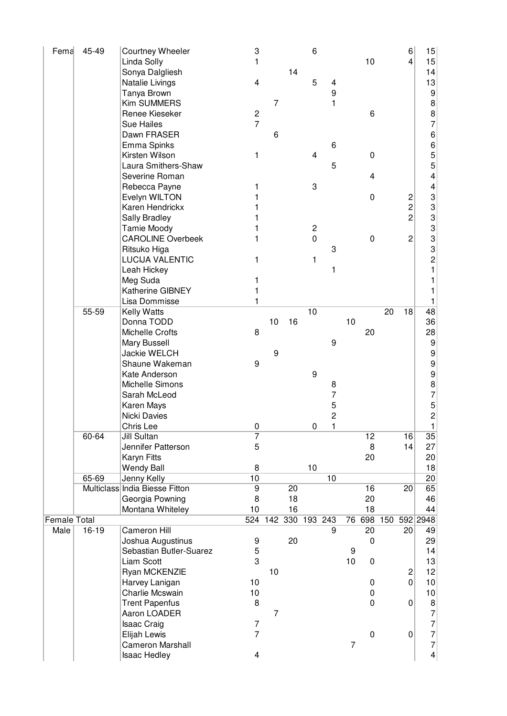| Fema         | 45-49   | Courtney Wheeler               | 3                       |                |                 | 6           |                |                |             |     | 6              | 15                                    |
|--------------|---------|--------------------------------|-------------------------|----------------|-----------------|-------------|----------------|----------------|-------------|-----|----------------|---------------------------------------|
|              |         | Linda Solly                    | 1                       |                |                 |             |                |                | 10          |     | $\overline{4}$ | 15                                    |
|              |         | Sonya Dalgliesh                |                         |                | 14              |             |                |                |             |     |                | 14                                    |
|              |         | Natalie Livings                | 4                       |                |                 | 5           | 4              |                |             |     |                | 13                                    |
|              |         | Tanya Brown                    |                         |                |                 |             | 9              |                |             |     |                | 9                                     |
|              |         | <b>Kim SUMMERS</b>             |                         | 7              |                 |             | 1              |                |             |     |                | 8                                     |
|              |         | Renee Kieseker                 | $\overline{\mathbf{c}}$ |                |                 |             |                |                | 6           |     |                |                                       |
|              |         | <b>Sue Hailes</b>              | $\overline{7}$          |                |                 |             |                |                |             |     |                | $\begin{array}{c} 8 \\ 7 \end{array}$ |
|              |         |                                |                         |                |                 |             |                |                |             |     |                |                                       |
|              |         | Dawn FRASER                    |                         | 6              |                 |             |                |                |             |     |                | 6<br>6<br>5                           |
|              |         | Emma Spinks                    |                         |                |                 |             | 6              |                |             |     |                |                                       |
|              |         | Kirsten Wilson                 | 1                       |                |                 | 4           |                |                | 0           |     |                |                                       |
|              |         | Laura Smithers-Shaw            |                         |                |                 |             | 5              |                |             |     |                | 5                                     |
|              |         | Severine Roman                 |                         |                |                 |             |                |                | 4           |     |                | 4                                     |
|              |         | Rebecca Payne                  | 1                       |                |                 | 3           |                |                |             |     |                | 4                                     |
|              |         | Evelyn WILTON                  | 1                       |                |                 |             |                |                | 0           |     | $\overline{c}$ | 3                                     |
|              |         | Karen Hendrickx                |                         |                |                 |             |                |                |             |     | $\overline{c}$ | 3                                     |
|              |         | Sally Bradley                  |                         |                |                 |             |                |                |             |     | $\overline{c}$ | 3                                     |
|              |         | Tamie Moody                    | 1                       |                |                 | 2           |                |                |             |     |                | 3                                     |
|              |         | <b>CAROLINE Overbeek</b>       | 1                       |                |                 | $\mathbf 0$ |                |                | 0           |     | $\overline{c}$ | 3                                     |
|              |         | Ritsuko Higa                   |                         |                |                 |             | 3              |                |             |     |                | 3                                     |
|              |         | <b>LUCIJA VALENTIC</b>         | 1                       |                |                 | 1           |                |                |             |     |                | $\overline{c}$                        |
|              |         | Leah Hickey                    |                         |                |                 |             | 1              |                |             |     |                | 1                                     |
|              |         | Meg Suda                       | 1                       |                |                 |             |                |                |             |     |                | 1                                     |
|              |         | Katherine GIBNEY               |                         |                |                 |             |                |                |             |     |                |                                       |
|              |         | Lisa Dommisse                  | 1                       |                |                 |             |                |                |             |     |                | 1                                     |
|              | 55-59   |                                |                         |                |                 | 10          |                |                |             | 20  | 18             | 48                                    |
|              |         | Kelly Watts                    |                         |                |                 |             |                |                |             |     |                |                                       |
|              |         | Donna TODD                     |                         | 10             | 16              |             |                | 10             |             |     |                | 36                                    |
|              |         | Michelle Crofts                | 8                       |                |                 |             |                |                | 20          |     |                | 28                                    |
|              |         | Mary Bussell                   |                         |                |                 |             | 9              |                |             |     |                | $\boldsymbol{9}$                      |
|              |         | <b>Jackie WELCH</b>            |                         | 9              |                 |             |                |                |             |     |                | $\boldsymbol{9}$                      |
|              |         | Shaune Wakeman                 | 9                       |                |                 |             |                |                |             |     |                | 9                                     |
|              |         | Kate Anderson                  |                         |                |                 | 9           |                |                |             |     |                | 9                                     |
|              |         | Michelle Simons                |                         |                |                 |             | 8              |                |             |     |                | $\begin{array}{c} 8 \\ 7 \end{array}$ |
|              |         | Sarah McLeod                   |                         |                |                 |             | 7              |                |             |     |                |                                       |
|              |         | Karen Mays                     |                         |                |                 |             | 5              |                |             |     |                | 5                                     |
|              |         | Nicki Davies                   |                         |                |                 |             | $\overline{c}$ |                |             |     |                | $\overline{c}$                        |
|              |         | Chris Lee                      | $\Omega$                |                |                 | 0           | 1              |                |             |     |                | 1                                     |
|              | 60-64   | <b>Jill Sultan</b>             | $\overline{7}$          |                |                 |             |                |                | 12          |     | 16             | 35                                    |
|              |         | Jennifer Patterson             | 5                       |                |                 |             |                |                | 8           |     | 14             | 27                                    |
|              |         | Karyn Fitts                    |                         |                |                 |             |                |                | 20          |     |                | 20                                    |
|              |         | <b>Wendy Ball</b>              | 8                       |                |                 | 10          |                |                |             |     |                | 18                                    |
|              | 65-69   | Jenny Kelly                    | 10                      |                |                 |             | 10             |                |             |     |                | 20                                    |
|              |         | Multiclass India Biesse Fitton | $\overline{9}$          |                | $\overline{20}$ |             |                |                | 16          |     | 20             | 65                                    |
|              |         |                                | 8                       |                | 18              |             |                |                | 20          |     |                | 46                                    |
|              |         | Georgia Powning                |                         |                |                 |             |                |                |             |     |                |                                       |
|              |         | Montana Whiteley               | 10                      |                | 16              |             |                |                | 18          |     |                | 44                                    |
| Female Total |         |                                | 524                     |                | 142 330 193 243 |             |                | 76             | 698         | 150 |                | 592 2948                              |
| Male         | $16-19$ | <b>Cameron Hill</b>            |                         |                |                 |             | 9              |                | 20          |     | 20             | 49                                    |
|              |         | Joshua Augustinus              | 9                       |                | 20              |             |                |                | 0           |     |                | 29                                    |
|              |         | Sebastian Butler-Suarez        | 5                       |                |                 |             |                | 9              |             |     |                | 14                                    |
|              |         | Liam Scott                     | 3                       |                |                 |             |                | 10             | 0           |     |                | 13                                    |
|              |         | Ryan MCKENZIE                  |                         | 10             |                 |             |                |                |             |     | $\sqrt{2}$     | 12                                    |
|              |         | Harvey Lanigan                 | 10                      |                |                 |             |                |                | 0           |     | $\overline{0}$ | 10                                    |
|              |         | Charlie Mcswain                | 10                      |                |                 |             |                |                | 0           |     |                | 10                                    |
|              |         | <b>Trent Papenfus</b>          | 8                       |                |                 |             |                |                | $\mathbf 0$ |     | $\mathbf 0$    | 8                                     |
|              |         | Aaron LOADER                   |                         | $\overline{7}$ |                 |             |                |                |             |     |                | $\overline{7}$                        |
|              |         | <b>Isaac Craig</b>             | 7                       |                |                 |             |                |                |             |     |                | $\overline{7}$                        |
|              |         | Elijah Lewis                   | $\overline{7}$          |                |                 |             |                |                | $\mathbf 0$ |     | 0              | $\overline{7}$                        |
|              |         | <b>Cameron Marshall</b>        |                         |                |                 |             |                | $\overline{7}$ |             |     |                | $\overline{7}$                        |
|              |         | Isaac Hedley                   | 4                       |                |                 |             |                |                |             |     |                | 4                                     |
|              |         |                                |                         |                |                 |             |                |                |             |     |                |                                       |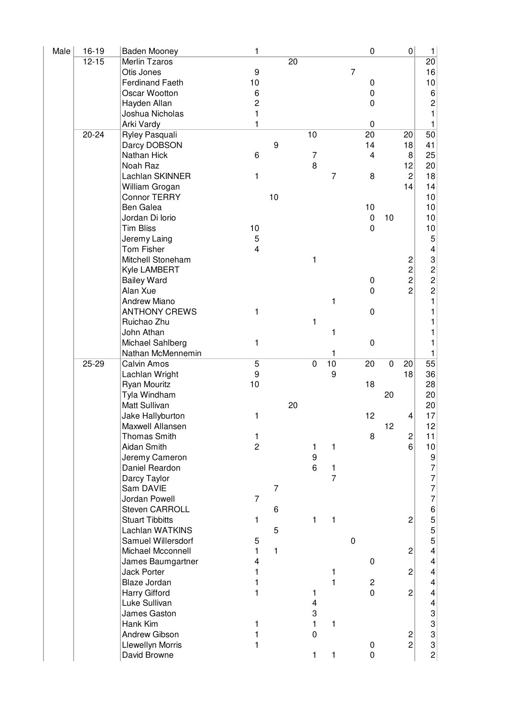| Male | $16 - 19$ | Baden Mooney           | 1                       |                |    |                |                |                | $\boldsymbol{0}$ |    | $\overline{0}$ | 1                                            |
|------|-----------|------------------------|-------------------------|----------------|----|----------------|----------------|----------------|------------------|----|----------------|----------------------------------------------|
|      | $12 - 15$ | Merlin Tzaros          |                         |                | 20 |                |                |                |                  |    |                | 20                                           |
|      |           | Otis Jones             | 9                       |                |    |                |                | $\overline{7}$ |                  |    |                | 16                                           |
|      |           | <b>Ferdinand Faeth</b> | 10                      |                |    |                |                |                | 0                |    |                | 10                                           |
|      |           | Oscar Wootton          | 6                       |                |    |                |                |                | 0                |    |                | 6                                            |
|      |           | Hayden Allan           | $\overline{c}$          |                |    |                |                |                | 0                |    |                | $\overline{c}$                               |
|      |           | Joshua Nicholas        | $\mathbf{1}$            |                |    |                |                |                |                  |    |                | $\mathbf{1}$                                 |
|      |           | Arki Vardy             | 1                       |                |    |                |                |                | $\boldsymbol{0}$ |    |                | 1                                            |
|      | $20 - 24$ | Ryley Pasquali         |                         |                |    | 10             |                |                | 20               |    | 20             | 50                                           |
|      |           | Darcy DOBSON           |                         | 9              |    |                |                |                | 14               |    | 18             | 41                                           |
|      |           | Nathan Hick            | 6                       |                |    | 7              |                |                | $\overline{4}$   |    | 8              | 25                                           |
|      |           | Noah Raz               |                         |                |    | 8              |                |                |                  |    | 12             | 20                                           |
|      |           | Lachlan SKINNER        | 1                       |                |    |                | $\overline{7}$ |                | 8                |    | $\overline{c}$ | 18                                           |
|      |           |                        |                         |                |    |                |                |                |                  |    |                |                                              |
|      |           | William Grogan         |                         |                |    |                |                |                |                  |    | 14             | 14                                           |
|      |           | <b>Connor TERRY</b>    |                         | 10             |    |                |                |                |                  |    |                | 10                                           |
|      |           | Ben Galea              |                         |                |    |                |                |                | 10               |    |                | 10                                           |
|      |           | Jordan Di Iorio        |                         |                |    |                |                |                | $\pmb{0}$        | 10 |                | 10                                           |
|      |           | <b>Tim Bliss</b>       | 10                      |                |    |                |                |                | $\mathbf 0$      |    |                | 10                                           |
|      |           | Jeremy Laing           | $\mathbf 5$             |                |    |                |                |                |                  |    |                | 5                                            |
|      |           | Tom Fisher             | $\overline{\mathbf{4}}$ |                |    |                |                |                |                  |    |                | 4                                            |
|      |           | Mitchell Stoneham      |                         |                |    | 1              |                |                |                  |    | $\frac{2}{2}$  |                                              |
|      |           | Kyle LAMBERT           |                         |                |    |                |                |                |                  |    |                |                                              |
|      |           | <b>Bailey Ward</b>     |                         |                |    |                |                |                | 0                |    | $\overline{c}$ |                                              |
|      |           | Alan Xue               |                         |                |    |                |                |                | $\boldsymbol{0}$ |    | $\overline{c}$ | $\begin{array}{c}\n3 \\ 2 \\ 2\n\end{array}$ |
|      |           | <b>Andrew Miano</b>    |                         |                |    |                | 1              |                |                  |    |                | 1                                            |
|      |           | <b>ANTHONY CREWS</b>   | 1                       |                |    |                |                |                | $\boldsymbol{0}$ |    |                |                                              |
|      |           | Ruichao Zhu            |                         |                |    | 1              |                |                |                  |    |                | 1                                            |
|      |           | John Athan             |                         |                |    |                | 1              |                |                  |    |                | 1                                            |
|      |           | Michael Sahlberg       | 1                       |                |    |                |                |                | $\boldsymbol{0}$ |    |                |                                              |
|      |           | Nathan McMennemin      |                         |                |    |                | 1              |                |                  |    |                | 1                                            |
|      | $25 - 29$ | Calvin Amos            | $\overline{5}$          |                |    | $\overline{0}$ | 10             |                | 20               | 0  | 20             | $\overline{55}$                              |
|      |           | Lachlan Wright         | 9                       |                |    |                | 9              |                |                  |    | 18             | 36                                           |
|      |           | <b>Ryan Mouritz</b>    | 10                      |                |    |                |                |                | 18               |    |                | 28                                           |
|      |           | Tyla Windham           |                         |                |    |                |                |                |                  | 20 |                | 20                                           |
|      |           |                        |                         |                | 20 |                |                |                |                  |    |                |                                              |
|      |           | Matt Sullivan          |                         |                |    |                |                |                |                  |    |                | 20                                           |
|      |           | Jake Hallyburton       | 1                       |                |    |                |                |                | 12               |    | 4              | 17                                           |
|      |           | Maxwell Allansen       |                         |                |    |                |                |                |                  | 12 |                | 12                                           |
|      |           | <b>Thomas Smith</b>    | 1                       |                |    |                |                |                | 8                |    | $\overline{c}$ | 11                                           |
|      |           | Aidan Smith            | $\overline{c}$          |                |    | 1              | 1              |                |                  |    | 6 <sup>1</sup> | 10                                           |
|      |           | Jeremy Cameron         |                         |                |    | 9              |                |                |                  |    |                | $\frac{9}{7}$                                |
|      |           | Daniel Reardon         |                         |                |    | 6              | 1              |                |                  |    |                |                                              |
|      |           | Darcy Taylor           |                         |                |    |                | $\overline{7}$ |                |                  |    |                |                                              |
|      |           | Sam DAVIE              |                         | $\overline{7}$ |    |                |                |                |                  |    |                | $\begin{array}{c} 7 \\ 7 \\ 7 \end{array}$   |
|      |           | Jordan Powell          | $\overline{7}$          |                |    |                |                |                |                  |    |                |                                              |
|      |           | <b>Steven CARROLL</b>  |                         | 6              |    |                |                |                |                  |    |                | 6555                                         |
|      |           | <b>Stuart Tibbitts</b> | 1                       |                |    | 1              | 1              |                |                  |    | $\overline{c}$ |                                              |
|      |           | Lachlan WATKINS        |                         | 5              |    |                |                |                |                  |    |                |                                              |
|      |           | Samuel Willersdorf     | 5                       |                |    |                |                | $\pmb{0}$      |                  |    |                |                                              |
|      |           | Michael Mcconnell      | 1                       | $\mathbf{1}$   |    |                |                |                |                  |    | 2              | $\overline{\mathbf{4}}$                      |
|      |           | James Baumgartner      | 4                       |                |    |                |                |                | $\boldsymbol{0}$ |    |                | 4                                            |
|      |           | <b>Jack Porter</b>     | 1                       |                |    |                | 1              |                |                  |    | $\overline{c}$ | 4                                            |
|      |           | Blaze Jordan           | 1                       |                |    |                | $\mathbf{1}$   |                | $\overline{c}$   |    |                | $\overline{\mathcal{L}}$                     |
|      |           | Harry Gifford          | $\mathbf{1}$            |                |    | 1              |                |                | $\pmb{0}$        |    | $\overline{c}$ | $\overline{\mathbf{4}}$                      |
|      |           | Luke Sullivan          |                         |                |    | 4              |                |                |                  |    |                | $\overline{\mathbf{4}}$                      |
|      |           | James Gaston           |                         |                |    | 3              |                |                |                  |    |                |                                              |
|      |           | Hank Kim               | 1                       |                |    | 1              | 1              |                |                  |    |                |                                              |
|      |           | Andrew Gibson          | 1                       |                |    | $\mathbf 0$    |                |                |                  |    | 2              |                                              |
|      |           | Llewellyn Morris       | 1                       |                |    |                |                |                | $\pmb{0}$        |    | $\overline{c}$ | 33332                                        |
|      |           | David Browne           |                         |                |    | 1              | 1              |                | $\pmb{0}$        |    |                |                                              |
|      |           |                        |                         |                |    |                |                |                |                  |    |                |                                              |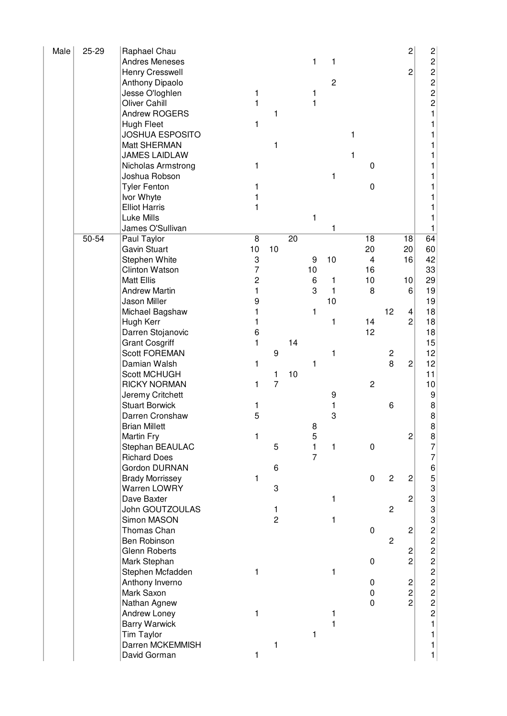| Male | 25-29 | Raphael Chau           |                |                |                 |                |                |   |                         |                | 2                       | $\overline{\mathbf{c}}$               |
|------|-------|------------------------|----------------|----------------|-----------------|----------------|----------------|---|-------------------------|----------------|-------------------------|---------------------------------------|
|      |       | <b>Andres Meneses</b>  |                |                |                 | 1              | 1              |   |                         |                |                         | $\overline{c}$                        |
|      |       | Henry Cresswell        |                |                |                 |                |                |   |                         |                | $\overline{c}$          | $\overline{\mathbf{c}}$               |
|      |       | Anthony Dipaolo        |                |                |                 |                | $\overline{c}$ |   |                         |                |                         | $\overline{c}$                        |
|      |       | Jesse O'loghlen        | 1              |                |                 | 1              |                |   |                         |                |                         | $\overline{c}$                        |
|      |       | Oliver Cahill          | 1              |                |                 | 1              |                |   |                         |                |                         | $\overline{c}$                        |
|      |       | Andrew ROGERS          |                | 1              |                 |                |                |   |                         |                |                         | 1                                     |
|      |       | <b>Hugh Fleet</b>      | 1              |                |                 |                |                |   |                         |                |                         |                                       |
|      |       | <b>JOSHUA ESPOSITO</b> |                |                |                 |                |                | 1 |                         |                |                         |                                       |
|      |       | Matt SHERMAN           |                | 1              |                 |                |                |   |                         |                |                         |                                       |
|      |       | JAMES LAIDLAW          |                |                |                 |                |                | 1 |                         |                |                         |                                       |
|      |       | Nicholas Armstrong     | 1              |                |                 |                |                |   | 0                       |                |                         |                                       |
|      |       | Joshua Robson          |                |                |                 |                | 1              |   |                         |                |                         |                                       |
|      |       | <b>Tyler Fenton</b>    | 1              |                |                 |                |                |   | 0                       |                |                         |                                       |
|      |       | Ivor Whyte             |                |                |                 |                |                |   |                         |                |                         |                                       |
|      |       | <b>Elliot Harris</b>   | 1              |                |                 |                |                |   |                         |                |                         |                                       |
|      |       | Luke Mills             |                |                |                 | 1              |                |   |                         |                |                         |                                       |
|      |       | James O'Sullivan       |                |                |                 |                |                |   |                         |                |                         | 1                                     |
|      | 50-54 | Paul Taylor            | 8              |                | $\overline{20}$ |                | 1              |   | 18                      |                | 18                      | 64                                    |
|      |       | <b>Gavin Stuart</b>    | 10             | 10             |                 |                |                |   | 20                      |                | 20                      |                                       |
|      |       |                        |                |                |                 |                |                |   |                         |                |                         | 60                                    |
|      |       | Stephen White          | 3              |                |                 | 9              | 10             |   | $\overline{\mathbf{4}}$ |                | 16                      | 42                                    |
|      |       | <b>Clinton Watson</b>  | 7              |                |                 | 10             |                |   | 16                      |                |                         | 33                                    |
|      |       | <b>Matt Ellis</b>      | $\overline{c}$ |                |                 | 6              | 1              |   | 10                      |                | 10                      | 29                                    |
|      |       | <b>Andrew Martin</b>   | 1              |                |                 | 3              | 1              |   | 8                       |                | 6                       | 19                                    |
|      |       | Jason Miller           | 9              |                |                 |                | 10             |   |                         |                |                         | 19                                    |
|      |       | Michael Bagshaw        |                |                |                 | 1              |                |   |                         | 12             | 4                       | 18                                    |
|      |       | Hugh Kerr              |                |                |                 |                | 1              |   | 14                      |                | $\overline{c}$          | 18                                    |
|      |       | Darren Stojanovic      | 6              |                |                 |                |                |   | 12                      |                |                         | 18                                    |
|      |       | <b>Grant Cosgriff</b>  | 1              |                | 14              |                |                |   |                         |                |                         | 15                                    |
|      |       | <b>Scott FOREMAN</b>   |                | 9              |                 |                | 1              |   |                         | $\overline{c}$ |                         | 12                                    |
|      |       | Damian Walsh           | 1              |                |                 | 1              |                |   |                         | 8              | $\overline{c}$          | 12                                    |
|      |       | <b>Scott MCHUGH</b>    |                | 1              | 10              |                |                |   |                         |                |                         | 11                                    |
|      |       | <b>RICKY NORMAN</b>    | 1              | $\overline{7}$ |                 |                |                |   | $\overline{c}$          |                |                         | 10                                    |
|      |       | Jeremy Critchett       |                |                |                 |                | 9              |   |                         |                |                         | 9                                     |
|      |       | <b>Stuart Borwick</b>  | 1              |                |                 |                | 1              |   |                         | 6              |                         | 8                                     |
|      |       | Darren Cronshaw        | 5              |                |                 |                | 3              |   |                         |                |                         | 8                                     |
|      |       | <b>Brian Millett</b>   |                |                |                 | 8              |                |   |                         |                |                         | 8                                     |
|      |       | Martin Fry             | 1              |                |                 | 5              |                |   |                         |                | $\overline{c}$          | $\begin{array}{c} 8 \\ 7 \end{array}$ |
|      |       | Stephan BEAULAC        |                | 5              |                 | 1              | 1              |   | 0                       |                |                         |                                       |
|      |       | <b>Richard Does</b>    |                |                |                 | $\overline{7}$ |                |   |                         |                |                         | 7                                     |
|      |       | Gordon DURNAN          |                | 6              |                 |                |                |   |                         |                |                         |                                       |
|      |       | <b>Brady Morrissey</b> | 1              |                |                 |                |                |   | $\pmb{0}$               | $\overline{2}$ | $\overline{c}$          |                                       |
|      |       | Warren LOWRY           |                | 3              |                 |                |                |   |                         |                |                         |                                       |
|      |       | Dave Baxter            |                |                |                 |                | 1              |   |                         |                | $\overline{c}$          |                                       |
|      |       | John GOUTZOULAS        |                | 1              |                 |                |                |   |                         | $\overline{c}$ |                         |                                       |
|      |       | Simon MASON            |                | $\overline{c}$ |                 |                | 1              |   |                         |                |                         |                                       |
|      |       | Thomas Chan            |                |                |                 |                |                |   | 0                       |                | $\overline{c}$          |                                       |
|      |       | Ben Robinson           |                |                |                 |                |                |   |                         | $\overline{c}$ |                         |                                       |
|      |       | <b>Glenn Roberts</b>   |                |                |                 |                |                |   |                         |                | 2                       |                                       |
|      |       | Mark Stephan           |                |                |                 |                |                |   | 0                       |                | $\overline{c}$          | 6533332222222                         |
|      |       | Stephen Mcfadden       | 1              |                |                 |                | 1              |   |                         |                |                         |                                       |
|      |       | Anthony Inverno        |                |                |                 |                |                |   | 0                       |                | $\overline{\mathbf{c}}$ |                                       |
|      |       | Mark Saxon             |                |                |                 |                |                |   | 0                       |                | $\overline{\mathbf{c}}$ |                                       |
|      |       | Nathan Agnew           |                |                |                 |                |                |   | 0                       |                | $\overline{c}$          |                                       |
|      |       | Andrew Loney           | 1              |                |                 |                | 1              |   |                         |                |                         | $\overline{c}$                        |
|      |       | <b>Barry Warwick</b>   |                |                |                 |                | 1              |   |                         |                |                         | $\mathbf{1}$                          |
|      |       | Tim Taylor             |                |                |                 | 1              |                |   |                         |                |                         | 1                                     |
|      |       | Darren MCKEMMISH       |                | 1              |                 |                |                |   |                         |                |                         | 1                                     |
|      |       | David Gorman           | 1              |                |                 |                |                |   |                         |                |                         | 1                                     |
|      |       |                        |                |                |                 |                |                |   |                         |                |                         |                                       |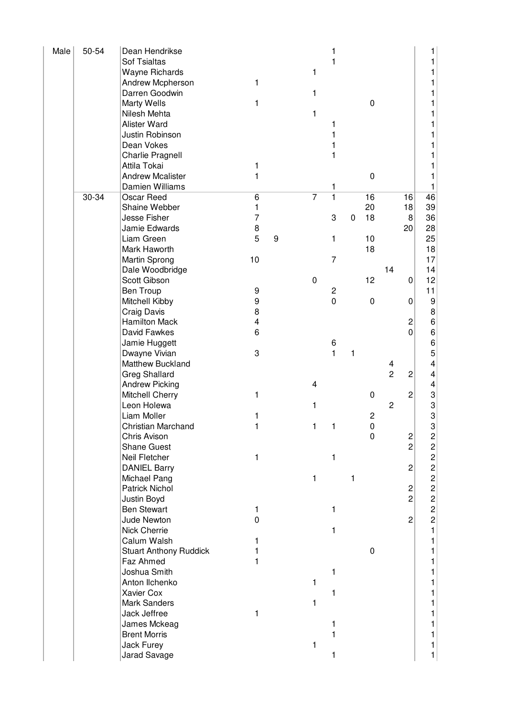| Male | 50-54 | Dean Hendrikse                |                         |   |                |                              |   |                  |                |                         | 1                       |
|------|-------|-------------------------------|-------------------------|---|----------------|------------------------------|---|------------------|----------------|-------------------------|-------------------------|
|      |       | <b>Sof Tsialtas</b>           |                         |   |                | 1                            |   |                  |                |                         | 1                       |
|      |       | <b>Wayne Richards</b>         |                         |   | 1              |                              |   |                  |                |                         | 1                       |
|      |       | Andrew Mcpherson              | 1                       |   |                |                              |   |                  |                |                         | 1                       |
|      |       | Darren Goodwin                |                         |   | 1              |                              |   |                  |                |                         |                         |
|      |       | Marty Wells                   | 1                       |   |                |                              |   | 0                |                |                         |                         |
|      |       | Nilesh Mehta                  |                         |   | 1              |                              |   |                  |                |                         |                         |
|      |       | Alister Ward                  |                         |   |                | 1                            |   |                  |                |                         |                         |
|      |       | Justin Robinson               |                         |   |                | 1                            |   |                  |                |                         |                         |
|      |       | Dean Vokes                    |                         |   |                | 1                            |   |                  |                |                         |                         |
|      |       | Charlie Pragnell              |                         |   |                | 1                            |   |                  |                |                         |                         |
|      |       | Attila Tokai                  |                         |   |                |                              |   |                  |                |                         |                         |
|      |       | <b>Andrew Mcalister</b>       | 1<br>1                  |   |                |                              |   | $\boldsymbol{0}$ |                |                         |                         |
|      |       |                               |                         |   |                |                              |   |                  |                |                         |                         |
|      |       | Damien Williams               |                         |   | $\overline{7}$ | 1<br>$\overline{\mathbf{1}}$ |   |                  |                |                         | 1                       |
|      | 30-34 | Oscar Reed                    | 6                       |   |                |                              |   | 16               |                | 16                      | 46                      |
|      |       | Shaine Webber                 | 1                       |   |                |                              |   | 20               |                | 18                      | 39                      |
|      |       | Jesse Fisher                  | $\overline{7}$          |   |                | 3                            | 0 | 18               |                | 8                       | 36                      |
|      |       | Jamie Edwards                 | $\bf 8$                 |   |                |                              |   |                  |                | 20                      | 28                      |
|      |       | Liam Green                    | 5                       | 9 |                | 1                            |   | 10               |                |                         | 25                      |
|      |       | Mark Haworth                  |                         |   |                |                              |   | 18               |                |                         | 18                      |
|      |       | Martin Sprong                 | 10                      |   |                | $\overline{7}$               |   |                  |                |                         | 17                      |
|      |       | Dale Woodbridge               |                         |   |                |                              |   |                  | 14             |                         | 14                      |
|      |       | Scott Gibson                  |                         |   | $\pmb{0}$      |                              |   | 12               |                | $\overline{0}$          | 12                      |
|      |       | Ben Troup                     | 9                       |   |                | $\overline{c}$               |   |                  |                |                         | 11                      |
|      |       | Mitchell Kibby                | $\boldsymbol{9}$        |   |                | $\mathbf 0$                  |   | $\mathbf 0$      |                | 0                       | 9                       |
|      |       | Craig Davis                   | 8                       |   |                |                              |   |                  |                |                         | 8                       |
|      |       | <b>Hamilton Mack</b>          | $\overline{\mathbf{4}}$ |   |                |                              |   |                  |                | 2                       | 6                       |
|      |       | David Fawkes                  | 6                       |   |                |                              |   |                  |                | $\overline{0}$          | 6                       |
|      |       | Jamie Huggett                 |                         |   |                | 6                            |   |                  |                |                         | 6                       |
|      |       | Dwayne Vivian                 | 3                       |   |                | $\mathbf{1}$                 | 1 |                  |                |                         | 5                       |
|      |       | Matthew Buckland              |                         |   |                |                              |   |                  | 4              |                         | 4                       |
|      |       | <b>Greg Shallard</b>          |                         |   |                |                              |   |                  | $\overline{2}$ | 2                       | 4                       |
|      |       | <b>Andrew Picking</b>         |                         |   | 4              |                              |   |                  |                |                         | 4                       |
|      |       | Mitchell Cherry               | 1                       |   |                |                              |   | 0                |                | 2                       | 3                       |
|      |       | Leon Holewa                   |                         |   | 1              |                              |   |                  | $\overline{c}$ |                         | 3                       |
|      |       | Liam Moller                   | 1                       |   |                |                              |   | 2                |                |                         | 3                       |
|      |       | Christian Marchand            | 1                       |   | 1              | 1                            |   | <sup>0</sup>     |                |                         | 3                       |
|      |       | Chris Avison                  |                         |   |                |                              |   | $\mathbf 0$      |                | $\overline{\mathbf{c}}$ | $\overline{\mathbf{c}}$ |
|      |       | <b>Shane Guest</b>            |                         |   |                |                              |   |                  |                | $\overline{2}$          |                         |
|      |       | Neil Fletcher                 | 1                       |   |                | 1                            |   |                  |                |                         | $\frac{2}{2}$           |
|      |       | <b>DANIEL Barry</b>           |                         |   |                |                              |   |                  |                | 2                       | $\overline{c}$          |
|      |       | Michael Pang                  |                         |   | 1              |                              | 1 |                  |                |                         | $\overline{c}$          |
|      |       | <b>Patrick Nichol</b>         |                         |   |                |                              |   |                  |                | 2                       | $\overline{c}$          |
|      |       | Justin Boyd                   |                         |   |                |                              |   |                  |                | $\overline{2}$          | $\overline{c}$          |
|      |       | <b>Ben Stewart</b>            |                         |   |                | 1                            |   |                  |                |                         | $\overline{c}$          |
|      |       | Jude Newton                   | 1<br>$\mathbf 0$        |   |                |                              |   |                  |                | $\overline{2}$          | $\overline{c}$          |
|      |       | <b>Nick Cherrie</b>           |                         |   |                |                              |   |                  |                |                         |                         |
|      |       |                               |                         |   |                | 1                            |   |                  |                |                         | 1                       |
|      |       | Calum Walsh                   | 1                       |   |                |                              |   |                  |                |                         | 1                       |
|      |       | <b>Stuart Anthony Ruddick</b> |                         |   |                |                              |   | $\boldsymbol{0}$ |                |                         |                         |
|      |       | Faz Ahmed                     | 1                       |   |                |                              |   |                  |                |                         |                         |
|      |       | Joshua Smith                  |                         |   |                | 1                            |   |                  |                |                         |                         |
|      |       | Anton Ilchenko                |                         |   | 1              |                              |   |                  |                |                         |                         |
|      |       | Xavier Cox                    |                         |   |                | 1                            |   |                  |                |                         |                         |
|      |       | <b>Mark Sanders</b>           |                         |   | 1              |                              |   |                  |                |                         |                         |
|      |       | Jack Jeffree                  | 1                       |   |                |                              |   |                  |                |                         |                         |
|      |       | James Mckeag                  |                         |   |                | 1                            |   |                  |                |                         |                         |
|      |       | <b>Brent Morris</b>           |                         |   |                |                              |   |                  |                |                         |                         |
|      |       | Jack Furey                    |                         |   | 1              |                              |   |                  |                |                         | 1                       |
|      |       | Jarad Savage                  |                         |   |                | 1                            |   |                  |                |                         | 1                       |
|      |       |                               |                         |   |                |                              |   |                  |                |                         |                         |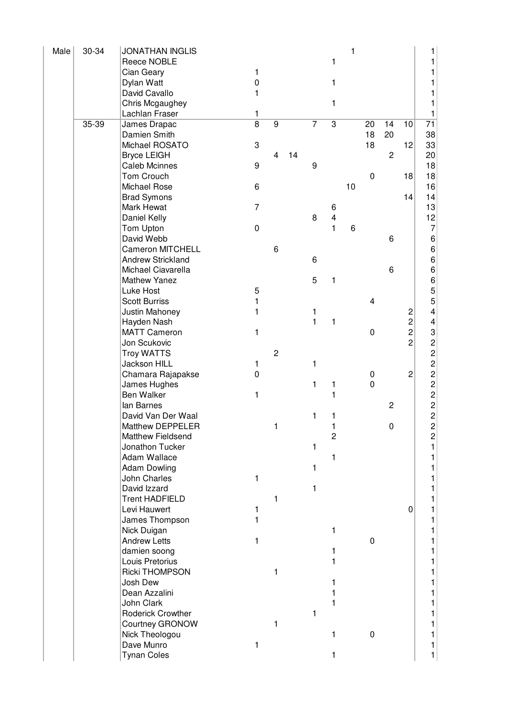| Male | 30-34 | <b>JONATHAN INGLIS</b>   |                     |                |    |                |                         | 1  |                  |                |                         | 1                       |
|------|-------|--------------------------|---------------------|----------------|----|----------------|-------------------------|----|------------------|----------------|-------------------------|-------------------------|
|      |       | Reece NOBLE              |                     |                |    |                | 1                       |    |                  |                |                         | 1                       |
|      |       | Cian Geary               | 1                   |                |    |                |                         |    |                  |                |                         |                         |
|      |       | Dylan Watt               | $\mathsf{O}\xspace$ |                |    |                | 1                       |    |                  |                |                         | 1                       |
|      |       | David Cavallo            | 1                   |                |    |                |                         |    |                  |                |                         | 1                       |
|      |       | Chris Mcgaughey          |                     |                |    |                | 1                       |    |                  |                |                         | 1                       |
|      |       | Lachlan Fraser           | 1                   |                |    |                |                         |    |                  |                |                         | 1                       |
|      | 35-39 | James Drapac             | $\overline{8}$      | $\overline{9}$ |    | $\overline{7}$ | $\overline{3}$          |    | 20               | 14             | 10                      | $\overline{71}$         |
|      |       | Damien Smith             |                     |                |    |                |                         |    | 18               | 20             |                         | 38                      |
|      |       | Michael ROSATO           | 3                   |                |    |                |                         |    | 18               |                | 12                      | 33                      |
|      |       | <b>Bryce LEIGH</b>       |                     | 4              | 14 |                |                         |    |                  | 2              |                         | 20                      |
|      |       | <b>Caleb Mcinnes</b>     | 9                   |                |    | 9              |                         |    |                  |                |                         | 18                      |
|      |       | Tom Crouch               |                     |                |    |                |                         |    | $\boldsymbol{0}$ |                | 18                      | 18                      |
|      |       | Michael Rose             | 6                   |                |    |                |                         | 10 |                  |                |                         | 16                      |
|      |       | <b>Brad Symons</b>       |                     |                |    |                |                         |    |                  |                | 14                      | 14                      |
|      |       | Mark Hewat               | $\overline{7}$      |                |    |                | 6                       |    |                  |                |                         | 13                      |
|      |       | Daniel Kelly             |                     |                |    | 8              | $\overline{\mathbf{4}}$ |    |                  |                |                         | 12                      |
|      |       | Tom Upton                | $\pmb{0}$           |                |    |                | 1                       | 6  |                  |                |                         | $\overline{7}$          |
|      |       | David Webb               |                     |                |    |                |                         |    |                  | 6              |                         | 6                       |
|      |       | <b>Cameron MITCHELL</b>  |                     | 6              |    |                |                         |    |                  |                |                         | 6                       |
|      |       | <b>Andrew Strickland</b> |                     |                |    | 6              |                         |    |                  |                |                         | 6                       |
|      |       | Michael Ciavarella       |                     |                |    |                |                         |    |                  | 6              |                         | 6                       |
|      |       | <b>Mathew Yanez</b>      |                     |                |    | 5              | 1                       |    |                  |                |                         |                         |
|      |       | Luke Host                | 5                   |                |    |                |                         |    |                  |                |                         | 6<br>5<br>5             |
|      |       | <b>Scott Burriss</b>     | 1                   |                |    |                |                         |    | 4                |                |                         |                         |
|      |       | Justin Mahoney           | 1                   |                |    | 1              |                         |    |                  |                | $\overline{\mathbf{c}}$ | $\overline{\mathbf{4}}$ |
|      |       | Hayden Nash              |                     |                |    | $\mathbf{1}$   | 1                       |    |                  |                | $\overline{c}$          | 4                       |
|      |       | <b>MATT Cameron</b>      | 1                   |                |    |                |                         |    | $\boldsymbol{0}$ |                | $\overline{c}$          | 3                       |
|      |       | Jon Scukovic             |                     |                |    |                |                         |    |                  |                | $\overline{2}$          | 22222222                |
|      |       | <b>Troy WATTS</b>        |                     | $\overline{c}$ |    |                |                         |    |                  |                |                         |                         |
|      |       | Jackson HILL             | 1                   |                |    | 1              |                         |    |                  |                |                         |                         |
|      |       | Chamara Rajapakse        | $\mathbf 0$         |                |    |                |                         |    | $\pmb{0}$        |                | $\overline{c}$          |                         |
|      |       | James Hughes             |                     |                |    | 1              | 1                       |    | $\mathbf 0$      |                |                         |                         |
|      |       | <b>Ben Walker</b>        | 1                   |                |    |                | 1                       |    |                  |                |                         |                         |
|      |       | lan Barnes               |                     |                |    |                |                         |    |                  | $\overline{c}$ |                         |                         |
|      |       | David Van Der Waal       |                     |                |    | 1              |                         |    |                  |                |                         |                         |
|      |       | Matthew DEPPELER         |                     | 1              |    |                |                         |    |                  | $\pmb{0}$      |                         |                         |
|      |       | Matthew Fieldsend        |                     |                |    |                | $\overline{c}$          |    |                  |                |                         | $\overline{\mathbf{c}}$ |
|      |       | Jonathon Tucker          |                     |                |    | 1              |                         |    |                  |                |                         | $\mathbf{1}$            |
|      |       | Adam Wallace             |                     |                |    |                | 1                       |    |                  |                |                         | 1                       |
|      |       | <b>Adam Dowling</b>      |                     |                |    | 1              |                         |    |                  |                |                         | 1                       |
|      |       | John Charles             | 1                   |                |    |                |                         |    |                  |                |                         | 1                       |
|      |       | David Izzard             |                     |                |    | 1              |                         |    |                  |                |                         | 1                       |
|      |       | <b>Trent HADFIELD</b>    |                     | 1              |    |                |                         |    |                  |                |                         | 1                       |
|      |       | Levi Hauwert             | 1                   |                |    |                |                         |    |                  |                | 0                       | 1                       |
|      |       | James Thompson           | 1                   |                |    |                |                         |    |                  |                |                         | 1                       |
|      |       | Nick Duigan              |                     |                |    |                | 1                       |    |                  |                |                         | 1                       |
|      |       | <b>Andrew Letts</b>      | 1                   |                |    |                |                         |    | 0                |                |                         | 1                       |
|      |       | damien soong             |                     |                |    |                | 1                       |    |                  |                |                         | 1                       |
|      |       | Louis Pretorius          |                     |                |    |                | 1                       |    |                  |                |                         | 1                       |
|      |       | Ricki THOMPSON           |                     | 1              |    |                |                         |    |                  |                |                         | 1                       |
|      |       | Josh Dew                 |                     |                |    |                | 1                       |    |                  |                |                         | 1                       |
|      |       | Dean Azzalini            |                     |                |    |                |                         |    |                  |                |                         | 1                       |
|      |       | John Clark               |                     |                |    |                | 1                       |    |                  |                |                         | 1                       |
|      |       | Roderick Crowther        |                     |                |    | 1              |                         |    |                  |                |                         | 1                       |
|      |       | Courtney GRONOW          |                     | 1              |    |                |                         |    |                  |                |                         | 1                       |
|      |       | Nick Theologou           |                     |                |    |                | 1                       |    | $\boldsymbol{0}$ |                |                         | 1                       |
|      |       | Dave Munro               | 1                   |                |    |                |                         |    |                  |                |                         | 1                       |
|      |       | <b>Tynan Coles</b>       |                     |                |    |                | 1                       |    |                  |                |                         | $\mathbf{1}$            |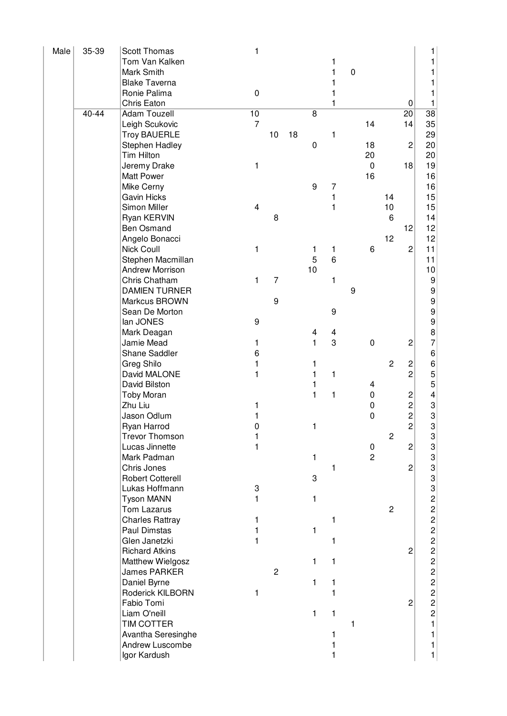| Male | 35-39 | <b>Scott Thomas</b>                     | 1              |                |    |                |       |             |                |                |                         | 1                                                |
|------|-------|-----------------------------------------|----------------|----------------|----|----------------|-------|-------------|----------------|----------------|-------------------------|--------------------------------------------------|
|      |       | Tom Van Kalken                          |                |                |    |                | 1     |             |                |                |                         | 1                                                |
|      |       | Mark Smith                              |                |                |    |                | 1     | $\mathbf 0$ |                |                |                         | 1                                                |
|      |       | <b>Blake Taverna</b>                    |                |                |    |                | 1     |             |                |                |                         | 1                                                |
|      |       | Ronie Palima                            | $\pmb{0}$      |                |    |                | 1     |             |                |                |                         | 1                                                |
|      | 40-44 | Chris Eaton<br>Adam Touzell             | 10             |                |    | $\overline{8}$ | 1     |             |                |                | 0<br>$\overline{20}$    | 1<br>$\overline{38}$                             |
|      |       | Leigh Scukovic                          | $\overline{7}$ |                |    |                |       |             | 14             |                | 14                      | 35                                               |
|      |       | <b>Troy BAUERLE</b>                     |                | 10             | 18 |                | 1     |             |                |                |                         | 29                                               |
|      |       | Stephen Hadley                          |                |                |    | 0              |       |             | 18             |                | $\overline{c}$          | 20                                               |
|      |       | Tim Hilton                              |                |                |    |                |       |             | 20             |                |                         | 20                                               |
|      |       | Jeremy Drake                            | 1              |                |    |                |       |             | $\pmb{0}$      |                | 18                      | 19                                               |
|      |       | Matt Power                              |                |                |    |                |       |             | 16             |                |                         | 16                                               |
|      |       | Mike Cerny                              |                |                |    | 9              | 7     |             |                |                |                         | 16                                               |
|      |       | <b>Gavin Hicks</b>                      |                |                |    |                | 1     |             |                | 14             |                         | 15                                               |
|      |       | Simon Miller                            | 4              |                |    |                | 1     |             |                | 10             |                         | 15                                               |
|      |       | Ryan KERVIN                             |                | 8              |    |                |       |             |                | 6              |                         | 14                                               |
|      |       | <b>Ben Osmand</b>                       |                |                |    |                |       |             |                |                | 12                      | 12                                               |
|      |       | Angelo Bonacci                          |                |                |    |                |       |             |                | 12             |                         | 12                                               |
|      |       | <b>Nick Coull</b>                       | 1              |                |    | 1              | 1     |             | 6              |                | $\overline{c}$          | 11                                               |
|      |       | Stephen Macmillan                       |                |                |    | 5              | $\,6$ |             |                |                |                         | 11                                               |
|      |       | <b>Andrew Morrison</b><br>Chris Chatham |                | $\overline{7}$ |    | 10             |       |             |                |                |                         | 10                                               |
|      |       | <b>DAMIEN TURNER</b>                    | 1              |                |    |                | 1     | 9           |                |                |                         | 9<br>$\boldsymbol{9}$                            |
|      |       | Markcus BROWN                           |                | 9              |    |                |       |             |                |                |                         | $\boldsymbol{9}$                                 |
|      |       | Sean De Morton                          |                |                |    |                | 9     |             |                |                |                         | 9                                                |
|      |       | lan JONES                               | 9              |                |    |                |       |             |                |                |                         | 9                                                |
|      |       | Mark Deagan                             |                |                |    | 4              | 4     |             |                |                |                         | 8                                                |
|      |       | Jamie Mead                              | 1              |                |    | 1              | 3     |             | $\pmb{0}$      |                | $\overline{c}$          | $\overline{7}$                                   |
|      |       | Shane Saddler                           | 6              |                |    |                |       |             |                |                |                         | 6                                                |
|      |       | Greg Shilo                              | 1              |                |    | 1              |       |             |                | $\overline{c}$ | 2                       | 6                                                |
|      |       | David MALONE                            | 1              |                |    | 1              | 1     |             |                |                | $\overline{c}$          | $\mathbf 5$                                      |
|      |       | David Bilston                           |                |                |    | 1              |       |             | 4              |                |                         | $\mathbf 5$                                      |
|      |       | <b>Toby Moran</b>                       |                |                |    | $\mathbf{1}$   | 1     |             | $\pmb{0}$      |                | $\overline{\mathbf{c}}$ | 4                                                |
|      |       | Zhu Liu                                 | 1              |                |    |                |       |             | 0              |                | $\overline{c}$          | 3                                                |
|      |       | Jason Odlum                             |                |                |    |                |       |             | 0              |                | $\overline{2}$          | 3                                                |
|      |       | Ryan Harrod                             | 0              |                |    | 1              |       |             |                |                | $\overline{c}$          | 3                                                |
|      |       | <b>Trevor Thomson</b>                   |                |                |    |                |       |             |                | $\overline{c}$ |                         | 3                                                |
|      |       | Lucas Jinnette                          | 1              |                |    |                |       |             | 0              |                | $\overline{\mathbf{c}}$ | 3                                                |
|      |       | Mark Padman                             |                |                |    | 1              |       |             | $\overline{c}$ |                |                         | 3                                                |
|      |       | Chris Jones<br><b>Robert Cotterell</b>  |                |                |    | 3              | 1     |             |                |                | $\overline{2}$          |                                                  |
|      |       | Lukas Hoffmann                          | 3              |                |    |                |       |             |                |                |                         |                                                  |
|      |       | <b>Tyson MANN</b>                       | 1              |                |    | 1              |       |             |                |                |                         |                                                  |
|      |       | Tom Lazarus                             |                |                |    |                |       |             |                | $\overline{c}$ |                         | $\begin{array}{c} 3 \\ 3 \\ 2 \\ 2 \end{array}$  |
|      |       | <b>Charles Rattray</b>                  | 1              |                |    |                | 1     |             |                |                |                         | $\overline{c}$                                   |
|      |       | Paul Dimstas                            |                |                |    | 1              |       |             |                |                |                         |                                                  |
|      |       | Glen Janetzki                           |                |                |    |                | 1     |             |                |                |                         | 2<br>2<br>2<br>2<br>2                            |
|      |       | <b>Richard Atkins</b>                   |                |                |    |                |       |             |                |                | $\overline{2}$          |                                                  |
|      |       | Matthew Wielgosz                        |                |                |    | 1              | 1     |             |                |                |                         |                                                  |
|      |       | <b>James PARKER</b>                     |                | $\overline{c}$ |    |                |       |             |                |                |                         |                                                  |
|      |       | Daniel Byrne                            |                |                |    | 1              | 1     |             |                |                |                         |                                                  |
|      |       | Roderick KILBORN                        | 1              |                |    |                | 1     |             |                |                |                         | $\begin{array}{c}\n 2 \\  2 \\  2\n \end{array}$ |
|      |       | Fabio Tomi                              |                |                |    |                |       |             |                |                | $\overline{2}$          |                                                  |
|      |       | Liam O'neill                            |                |                |    | 1              | 1     |             |                |                |                         |                                                  |
|      |       | <b>TIM COTTER</b>                       |                |                |    |                |       | 1           |                |                |                         | $\mathbf{1}$                                     |
|      |       | Avantha Seresinghe                      |                |                |    |                | 1     |             |                |                |                         | 1                                                |
|      |       | Andrew Luscombe                         |                |                |    |                | 1     |             |                |                |                         | 1                                                |
|      |       | Igor Kardush                            |                |                |    |                | 1     |             |                |                |                         | 1                                                |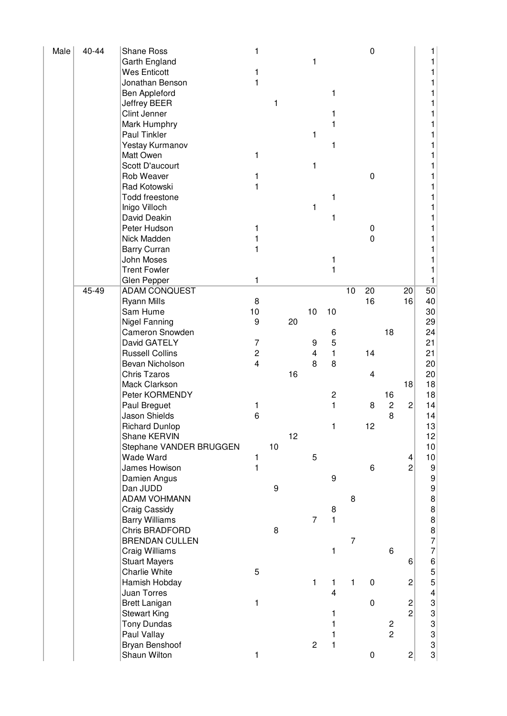| Male | 40-44 | Shane Ross              | 1                |    |    |                         |                  |                | $\pmb{0}$               |                         |                         |                                       |
|------|-------|-------------------------|------------------|----|----|-------------------------|------------------|----------------|-------------------------|-------------------------|-------------------------|---------------------------------------|
|      |       | Garth England           |                  |    |    | 1                       |                  |                |                         |                         |                         |                                       |
|      |       | <b>Wes Enticott</b>     | 1                |    |    |                         |                  |                |                         |                         |                         |                                       |
|      |       | Jonathan Benson         | 1                |    |    |                         |                  |                |                         |                         |                         |                                       |
|      |       | Ben Appleford           |                  |    |    |                         | 1                |                |                         |                         |                         |                                       |
|      |       | Jeffrey BEER            |                  | 1  |    |                         |                  |                |                         |                         |                         |                                       |
|      |       | Clint Jenner            |                  |    |    |                         | 1                |                |                         |                         |                         |                                       |
|      |       | Mark Humphry            |                  |    |    |                         | 1                |                |                         |                         |                         |                                       |
|      |       | Paul Tinkler            |                  |    |    | 1                       |                  |                |                         |                         |                         |                                       |
|      |       | Yestay Kurmanov         |                  |    |    |                         | 1                |                |                         |                         |                         |                                       |
|      |       | Matt Owen               | 1                |    |    |                         |                  |                |                         |                         |                         |                                       |
|      |       | Scott D'aucourt         |                  |    |    | 1                       |                  |                |                         |                         |                         |                                       |
|      |       | Rob Weaver              | 1                |    |    |                         |                  |                | $\pmb{0}$               |                         |                         |                                       |
|      |       | Rad Kotowski            | 1                |    |    |                         |                  |                |                         |                         |                         |                                       |
|      |       | Todd freestone          |                  |    |    |                         | 1                |                |                         |                         |                         |                                       |
|      |       | Inigo Villoch           |                  |    |    | 1                       |                  |                |                         |                         |                         |                                       |
|      |       | David Deakin            |                  |    |    |                         | 1                |                |                         |                         |                         |                                       |
|      |       | Peter Hudson            | 1                |    |    |                         |                  |                | 0                       |                         |                         |                                       |
|      |       | Nick Madden             | 1                |    |    |                         |                  |                | 0                       |                         |                         |                                       |
|      |       | <b>Barry Curran</b>     | 1                |    |    |                         |                  |                |                         |                         |                         |                                       |
|      |       | John Moses              |                  |    |    |                         | 1                |                |                         |                         |                         |                                       |
|      |       | <b>Trent Fowler</b>     |                  |    |    |                         | $\mathbf{1}$     |                |                         |                         |                         |                                       |
|      |       | Glen Pepper             | 1                |    |    |                         |                  |                |                         |                         |                         | 1                                     |
|      | 45-49 | <b>ADAM CONQUEST</b>    |                  |    |    |                         |                  | 10             | 20                      |                         | 20                      | 50                                    |
|      |       | <b>Ryann Mills</b>      | 8                |    |    |                         |                  |                | 16                      |                         | 16                      | 40                                    |
|      |       | Sam Hume                | 10               |    |    | 10                      | 10               |                |                         |                         |                         | 30                                    |
|      |       | <b>Nigel Fanning</b>    | $\boldsymbol{9}$ |    | 20 |                         |                  |                |                         |                         |                         | 29                                    |
|      |       | Cameron Snowden         |                  |    |    |                         | 6                |                |                         | 18                      |                         | 24                                    |
|      |       | David GATELY            | $\overline{7}$   |    |    | 9                       | 5                |                |                         |                         |                         | 21                                    |
|      |       | <b>Russell Collins</b>  | $\overline{c}$   |    |    | $\overline{\mathbf{4}}$ | $\mathbf{1}$     |                | 14                      |                         |                         | 21                                    |
|      |       | Bevan Nicholson         | $\overline{4}$   |    |    | 8                       | 8                |                |                         |                         |                         | 20                                    |
|      |       | <b>Chris Tzaros</b>     |                  |    | 16 |                         |                  |                | $\overline{\mathbf{4}}$ |                         |                         | 20                                    |
|      |       | Mack Clarkson           |                  |    |    |                         |                  |                |                         |                         | 18                      | 18                                    |
|      |       | Peter KORMENDY          |                  |    |    |                         | $\overline{c}$   |                |                         | 16                      |                         | 18                                    |
|      |       | Paul Breguet            | 1                |    |    |                         | 1                |                | 8                       | $\overline{c}$          | $\overline{c}$          | 14                                    |
|      |       | Jason Shields           | 6                |    |    |                         |                  |                |                         | 8                       |                         | 14                                    |
|      |       | <b>Richard Dunlop</b>   |                  |    |    |                         | $\mathbf{1}$     |                | 12                      |                         |                         | 13                                    |
|      |       | Shane KERVIN            |                  |    | 12 |                         |                  |                |                         |                         |                         | 12                                    |
|      |       | Stephane VANDER BRUGGEN |                  | 10 |    |                         |                  |                |                         |                         |                         | 10                                    |
|      |       | Wade Ward               | 1                |    |    | 5                       |                  |                |                         |                         | 4                       | 10                                    |
|      |       | James Howison           | 1                |    |    |                         |                  |                | 6                       |                         | $\overline{c}$          | 9                                     |
|      |       | Damien Angus            |                  |    |    |                         | $\boldsymbol{9}$ |                |                         |                         |                         | 9                                     |
|      |       | Dan JUDD                |                  | 9  |    |                         |                  |                |                         |                         |                         | 9                                     |
|      |       | <b>ADAM VOHMANN</b>     |                  |    |    |                         |                  | 8              |                         |                         |                         | 8                                     |
|      |       | Craig Cassidy           |                  |    |    |                         | 8                |                |                         |                         |                         | 8                                     |
|      |       | <b>Barry Williams</b>   |                  |    |    | $\overline{7}$          | $\mathbf{1}$     |                |                         |                         |                         | 8                                     |
|      |       | <b>Chris BRADFORD</b>   |                  | 8  |    |                         |                  |                |                         |                         |                         |                                       |
|      |       | <b>BRENDAN CULLEN</b>   |                  |    |    |                         |                  | $\overline{7}$ |                         |                         |                         | $\begin{array}{c} 8 \\ 7 \end{array}$ |
|      |       | Craig Williams          |                  |    |    |                         | 1                |                |                         | 6                       |                         | $\overline{7}$                        |
|      |       | <b>Stuart Mayers</b>    |                  |    |    |                         |                  |                |                         |                         | 6                       | $\overline{6}$                        |
|      |       | Charlie White           | 5                |    |    |                         |                  |                |                         |                         |                         | 5                                     |
|      |       | Hamish Hobday           |                  |    |    | $\mathbf{1}$            | $\mathbf{1}$     | 1              | $\pmb{0}$               |                         | $\overline{c}$          | 5                                     |
|      |       | Juan Torres             |                  |    |    |                         | $\overline{4}$   |                |                         |                         |                         | $\overline{\mathbf{4}}$               |
|      |       | <b>Brett Lanigan</b>    | 1                |    |    |                         |                  |                | $\pmb{0}$               |                         | $\overline{\mathbf{c}}$ |                                       |
|      |       | <b>Stewart King</b>     |                  |    |    |                         | 1                |                |                         |                         | $\overline{2}$          |                                       |
|      |       | <b>Tony Dundas</b>      |                  |    |    |                         | 1                |                |                         | $\overline{\mathbf{c}}$ |                         |                                       |
|      |       | Paul Vallay             |                  |    |    |                         | 1                |                |                         | $\overline{2}$          |                         |                                       |
|      |       | Bryan Benshoof          |                  |    |    | $\overline{c}$          | $\mathbf{1}$     |                |                         |                         |                         |                                       |
|      |       | Shaun Wilton            | 1                |    |    |                         |                  |                | 0                       |                         | $\mathbf{2}$            | <u>ယ ယ ယ ယ ယ</u>                      |
|      |       |                         |                  |    |    |                         |                  |                |                         |                         |                         |                                       |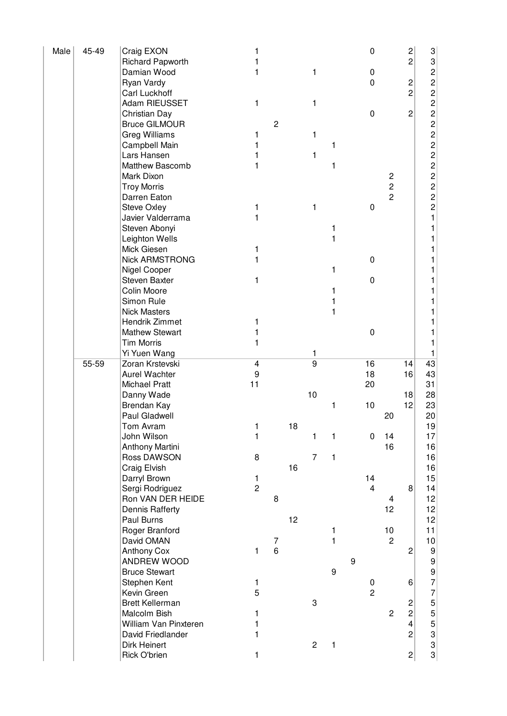| Male | 45-49 | Craig EXON                   | 1                       |                |    |                |   |                  | 0              |                | $\overline{\mathbf{c}}$ | 3                                           |
|------|-------|------------------------------|-------------------------|----------------|----|----------------|---|------------------|----------------|----------------|-------------------------|---------------------------------------------|
|      |       | <b>Richard Papworth</b>      |                         |                |    |                |   |                  |                |                | $\overline{c}$          | 3                                           |
|      |       | Damian Wood                  | 1                       |                |    | 1              |   |                  | 0              |                |                         | $\overline{c}$                              |
|      |       | Ryan Vardy                   |                         |                |    |                |   |                  | 0              |                | 2                       | $\overline{c}$                              |
|      |       | Carl Luckhoff                |                         |                |    |                |   |                  |                |                | $\overline{c}$          | $\overline{c}$                              |
|      |       | Adam RIEUSSET                | 1                       |                |    | 1              |   |                  |                |                |                         | $\overline{c}$                              |
|      |       | Christian Day                |                         |                |    |                |   |                  | $\mathbf 0$    |                | 2                       | $\overline{c}$                              |
|      |       | <b>Bruce GILMOUR</b>         |                         | $\overline{c}$ |    |                |   |                  |                |                |                         |                                             |
|      |       | <b>Greg Williams</b>         |                         |                |    | 1              |   |                  |                |                |                         | $\frac{2}{2}$                               |
|      |       | Campbell Main                |                         |                |    |                | 1 |                  |                |                |                         | $\overline{c}$                              |
|      |       | Lars Hansen                  |                         |                |    | 1              |   |                  |                |                |                         | $\overline{c}$                              |
|      |       | Matthew Bascomb              | 1                       |                |    |                | 1 |                  |                |                |                         | $\overline{c}$                              |
|      |       | Mark Dixon                   |                         |                |    |                |   |                  |                | $\overline{c}$ |                         | $\overline{c}$                              |
|      |       | <b>Troy Morris</b>           |                         |                |    |                |   |                  |                | $\overline{c}$ |                         | $\overline{c}$                              |
|      |       | Darren Eaton                 |                         |                |    |                |   |                  |                | $\overline{2}$ |                         | $\overline{c}$                              |
|      |       | <b>Steve Oxley</b>           | 1                       |                |    | 1              |   |                  | 0              |                |                         | $\overline{c}$                              |
|      |       | Javier Valderrama            | 1                       |                |    |                |   |                  |                |                |                         | 1                                           |
|      |       | Steven Abonyi                |                         |                |    |                | 1 |                  |                |                |                         |                                             |
|      |       | Leighton Wells               |                         |                |    |                | 1 |                  |                |                |                         |                                             |
|      |       | Mick Giesen                  | 1                       |                |    |                |   |                  |                |                |                         |                                             |
|      |       | <b>Nick ARMSTRONG</b>        |                         |                |    |                |   |                  | $\pmb{0}$      |                |                         |                                             |
|      |       | Nigel Cooper                 |                         |                |    |                | 1 |                  |                |                |                         |                                             |
|      |       | Steven Baxter                | 1                       |                |    |                |   |                  | $\pmb{0}$      |                |                         |                                             |
|      |       | Colin Moore                  |                         |                |    |                |   |                  |                |                |                         |                                             |
|      |       | Simon Rule                   |                         |                |    |                |   |                  |                |                |                         |                                             |
|      |       | <b>Nick Masters</b>          |                         |                |    |                |   |                  |                |                |                         |                                             |
|      |       | Hendrik Zimmet               | 1                       |                |    |                |   |                  |                |                |                         |                                             |
|      |       | <b>Mathew Stewart</b>        |                         |                |    |                |   |                  | $\pmb{0}$      |                |                         |                                             |
|      |       | <b>Tim Morris</b>            | 1                       |                |    |                |   |                  |                |                |                         |                                             |
|      |       | Yi Yuen Wang                 |                         |                |    | 1              |   |                  |                |                |                         | 1                                           |
|      | 55-59 | Zoran Krstevski              | $\overline{\mathbf{4}}$ |                |    | $\overline{9}$ |   |                  | 16             |                | 14                      | 43                                          |
|      |       |                              |                         |                |    |                |   |                  | 18             |                |                         |                                             |
|      |       |                              |                         |                |    |                |   |                  |                |                |                         |                                             |
|      |       | Aurel Wachter                | 9                       |                |    |                |   |                  |                |                | 16                      | 43                                          |
|      |       | Michael Pratt                | 11                      |                |    |                |   |                  | 20             |                |                         | 31                                          |
|      |       | Danny Wade                   |                         |                |    | 10             |   |                  |                |                | 18                      | 28                                          |
|      |       | Brendan Kay                  |                         |                |    |                | 1 |                  | 10             |                | 12                      | 23                                          |
|      |       | Paul Gladwell                |                         |                |    |                |   |                  |                | 20             |                         | 20                                          |
|      |       | Tom Avram                    | 1                       |                | 18 |                |   |                  |                |                |                         | 19                                          |
|      |       | John Wilson                  | 1                       |                |    | 1              | 1 |                  | 0              | 14             |                         | 17                                          |
|      |       | Anthony Martini              |                         |                |    |                |   |                  |                | 16             |                         | 16                                          |
|      |       | Ross DAWSON                  | 8                       |                |    | $\overline{7}$ | 1 |                  |                |                |                         | 16                                          |
|      |       | Craig Elvish                 |                         |                | 16 |                |   |                  |                |                |                         | 16                                          |
|      |       | Darryl Brown                 | 1                       |                |    |                |   |                  | 14             |                |                         | 15                                          |
|      |       | Sergi Rodriguez              | $\overline{c}$          |                |    |                |   |                  | $\overline{4}$ |                | 8                       | 14                                          |
|      |       | Ron VAN DER HEIDE            |                         | 8              |    |                |   |                  |                | 4              |                         | 12                                          |
|      |       | Dennis Rafferty              |                         |                |    |                |   |                  |                | 12             |                         | 12                                          |
|      |       | Paul Burns                   |                         |                | 12 |                |   |                  |                |                |                         | 12                                          |
|      |       | Roger Branford               |                         |                |    |                | 1 |                  |                | 10             |                         | 11                                          |
|      |       | David OMAN                   |                         | $\overline{7}$ |    |                | 1 |                  |                | $\overline{c}$ |                         | 10                                          |
|      |       | <b>Anthony Cox</b>           | 1                       | 6              |    |                |   |                  |                |                | $\overline{c}$          | $\boldsymbol{9}$                            |
|      |       | ANDREW WOOD                  |                         |                |    |                |   | $\boldsymbol{9}$ |                |                |                         | $\boldsymbol{9}$                            |
|      |       | <b>Bruce Stewart</b>         |                         |                |    |                | 9 |                  |                |                |                         | 9                                           |
|      |       | Stephen Kent                 | 1                       |                |    |                |   |                  | $\pmb{0}$      |                | 6                       | 7                                           |
|      |       | Kevin Green                  | 5                       |                |    |                |   |                  | $\overline{2}$ |                |                         | 7                                           |
|      |       | <b>Brett Kellerman</b>       |                         |                |    | 3              |   |                  |                |                | $\overline{\mathbf{c}}$ | 5                                           |
|      |       | Malcolm Bish                 | 1                       |                |    |                |   |                  |                | $\overline{c}$ | $\overline{c}$          | 5                                           |
|      |       | William Van Pinxteren        | 1                       |                |    |                |   |                  |                |                | $\overline{\mathbf{4}}$ | 5                                           |
|      |       | David Friedlander            | 1                       |                |    |                |   |                  |                |                | $\overline{2}$          | 3                                           |
|      |       | Dirk Heinert<br>Rick O'brien |                         |                |    | $\overline{c}$ | 1 |                  |                |                | $\mathbf{2}$            | $\ensuremath{\mathsf{3}}$<br>3 <sup>2</sup> |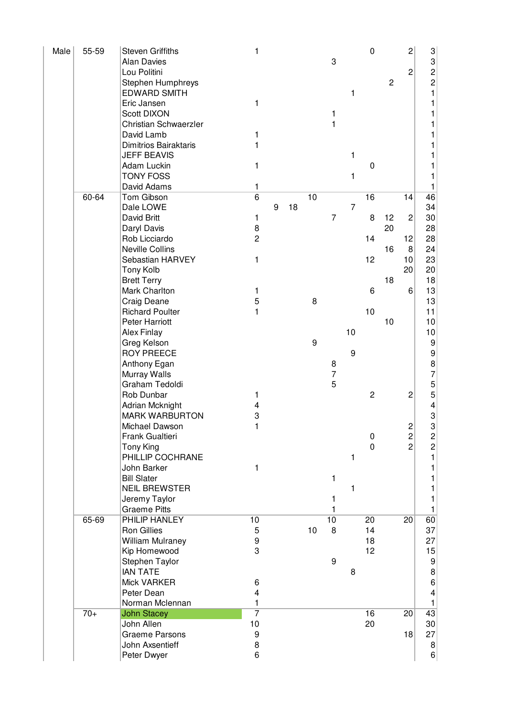| Male | 55-59 | <b>Steven Griffiths</b>              | 1              |   |    |    |                  |                | $\mathbf 0$      |                | $\overline{\mathbf{c}}$ | $\mathbf{3}$                                    |
|------|-------|--------------------------------------|----------------|---|----|----|------------------|----------------|------------------|----------------|-------------------------|-------------------------------------------------|
|      |       | <b>Alan Davies</b>                   |                |   |    |    | 3                |                |                  |                |                         |                                                 |
|      |       | Lou Politini                         |                |   |    |    |                  |                |                  |                | $\overline{c}$          | $\begin{array}{c} 3 \\ 2 \\ 2 \\ 1 \end{array}$ |
|      |       | Stephen Humphreys                    |                |   |    |    |                  |                |                  | $\overline{c}$ |                         |                                                 |
|      |       | <b>EDWARD SMITH</b>                  |                |   |    |    |                  | 1              |                  |                |                         |                                                 |
|      |       | Eric Jansen                          | 1              |   |    |    |                  |                |                  |                |                         | 1                                               |
|      |       | <b>Scott DIXON</b>                   |                |   |    |    | 1                |                |                  |                |                         | 1                                               |
|      |       | Christian Schwaerzler                |                |   |    |    | 1                |                |                  |                |                         | 1                                               |
|      |       | David Lamb                           | 1              |   |    |    |                  |                |                  |                |                         | 1                                               |
|      |       | <b>Dimitrios Bairaktaris</b>         | 1              |   |    |    |                  |                |                  |                |                         | 1                                               |
|      |       | <b>JEFF BEAVIS</b>                   |                |   |    |    |                  | 1              |                  |                |                         | 1                                               |
|      |       | Adam Luckin<br><b>TONY FOSS</b>      | 1              |   |    |    |                  | 1              | 0                |                |                         | 1<br>1                                          |
|      |       | David Adams                          | 1              |   |    |    |                  |                |                  |                |                         | 1                                               |
|      | 60-64 | Tom Gibson                           | $\overline{6}$ |   |    | 10 |                  |                | 16               |                | 14                      | 46                                              |
|      |       | Dale LOWE                            |                | 9 | 18 |    |                  | $\overline{7}$ |                  |                |                         | 34                                              |
|      |       | David Britt                          | 1              |   |    |    | $\overline{7}$   |                | 8                | 12             | $\overline{c}$          | 30                                              |
|      |       | Daryl Davis                          | 8              |   |    |    |                  |                |                  | 20             |                         | 28                                              |
|      |       | Rob Licciardo                        | $\overline{c}$ |   |    |    |                  |                | 14               |                | 12                      | 28                                              |
|      |       | <b>Neville Collins</b>               |                |   |    |    |                  |                |                  | 16             | 8                       | 24                                              |
|      |       | Sebastian HARVEY                     | 1              |   |    |    |                  |                | 12               |                | 10                      | 23                                              |
|      |       | Tony Kolb                            |                |   |    |    |                  |                |                  |                | 20                      | 20                                              |
|      |       | <b>Brett Terry</b>                   |                |   |    |    |                  |                |                  | 18             |                         | 18                                              |
|      |       | Mark Charlton                        | 1              |   |    |    |                  |                | 6                |                | 6                       | 13                                              |
|      |       | Craig Deane                          | 5              |   |    | 8  |                  |                |                  |                |                         | 13                                              |
|      |       | <b>Richard Poulter</b>               | $\mathbf{1}$   |   |    |    |                  |                | 10               |                |                         | 11                                              |
|      |       | <b>Peter Harriott</b>                |                |   |    |    |                  |                |                  | 10             |                         | 10                                              |
|      |       | <b>Alex Finlay</b>                   |                |   |    |    |                  | 10             |                  |                |                         | 10                                              |
|      |       | Greg Kelson                          |                |   |    | 9  |                  |                |                  |                |                         | 9                                               |
|      |       | <b>ROY PREECE</b>                    |                |   |    |    |                  | 9              |                  |                |                         | 9                                               |
|      |       | Anthony Egan                         |                |   |    |    | 8                |                |                  |                |                         | $\begin{array}{c} 8 \\ 7 \end{array}$           |
|      |       | Murray Walls                         |                |   |    |    | $\overline{7}$   |                |                  |                |                         |                                                 |
|      |       | Graham Tedoldi                       |                |   |    |    | 5                |                |                  |                |                         | $\frac{5}{5}$                                   |
|      |       | Rob Dunbar                           | 1              |   |    |    |                  |                | $\mathbf 2$      |                | 2                       |                                                 |
|      |       | Adrian Mcknight                      | 4              |   |    |    |                  |                |                  |                |                         | 4                                               |
|      |       | <b>MARK WARBURTON</b>                | 3              |   |    |    |                  |                |                  |                |                         | 3                                               |
|      |       | Michael Dawson                       | 1              |   |    |    |                  |                |                  |                | $\overline{c}$          | 3                                               |
|      |       | Frank Gualtieri                      |                |   |    |    |                  |                | $\boldsymbol{0}$ |                | $\overline{\mathbf{c}}$ | $\begin{array}{c}\n2 \\ 2\n\end{array}$         |
|      |       | Tony King                            |                |   |    |    |                  |                | $\boldsymbol{0}$ |                | $\overline{2}$          |                                                 |
|      |       | PHILLIP COCHRANE                     |                |   |    |    |                  | 1              |                  |                |                         | $\mathbf{1}$                                    |
|      |       | John Barker                          | 1              |   |    |    |                  |                |                  |                |                         | 1                                               |
|      |       | <b>Bill Slater</b>                   |                |   |    |    | 1                |                |                  |                |                         | 1                                               |
|      |       | <b>NEIL BREWSTER</b>                 |                |   |    |    |                  | 1              |                  |                |                         | 1                                               |
|      |       | Jeremy Taylor                        |                |   |    |    |                  |                |                  |                |                         | 1                                               |
|      | 65-69 | <b>Graeme Pitts</b><br>PHILIP HANLEY | 10             |   |    |    | 10               |                | 20               |                | $\overline{20}$         | 1<br>60                                         |
|      |       | Ron Gillies                          | $\mathbf 5$    |   |    | 10 | 8                |                | 14               |                |                         | 37                                              |
|      |       | <b>William Mulraney</b>              | 9              |   |    |    |                  |                | 18               |                |                         | 27                                              |
|      |       | Kip Homewood                         | 3              |   |    |    |                  |                | 12               |                |                         | 15                                              |
|      |       | Stephen Taylor                       |                |   |    |    | $\boldsymbol{9}$ |                |                  |                |                         | $\overline{9}$                                  |
|      |       | <b>IAN TATE</b>                      |                |   |    |    |                  | 8              |                  |                |                         |                                                 |
|      |       | Mick VARKER                          | 6              |   |    |    |                  |                |                  |                |                         | $\begin{array}{c} 8 \\ 6 \end{array}$           |
|      |       | Peter Dean                           | 4              |   |    |    |                  |                |                  |                |                         | $\overline{\mathbf{4}}$                         |
|      |       | Norman Mclennan                      | 1              |   |    |    |                  |                |                  |                |                         | $\mathbf{1}$                                    |
|      | $70+$ | <b>John Stacey</b>                   | $\overline{7}$ |   |    |    |                  |                | 16               |                | 20                      | 43                                              |
|      |       | John Allen                           | 10             |   |    |    |                  |                | 20               |                |                         | $30\,$                                          |
|      |       | <b>Graeme Parsons</b>                | 9              |   |    |    |                  |                |                  |                | 18                      | 27                                              |
|      |       | John Axsentieff                      | 8              |   |    |    |                  |                |                  |                |                         | $\boldsymbol{8}$                                |
|      |       | Peter Dwyer                          | 6              |   |    |    |                  |                |                  |                |                         | $6\vert$                                        |